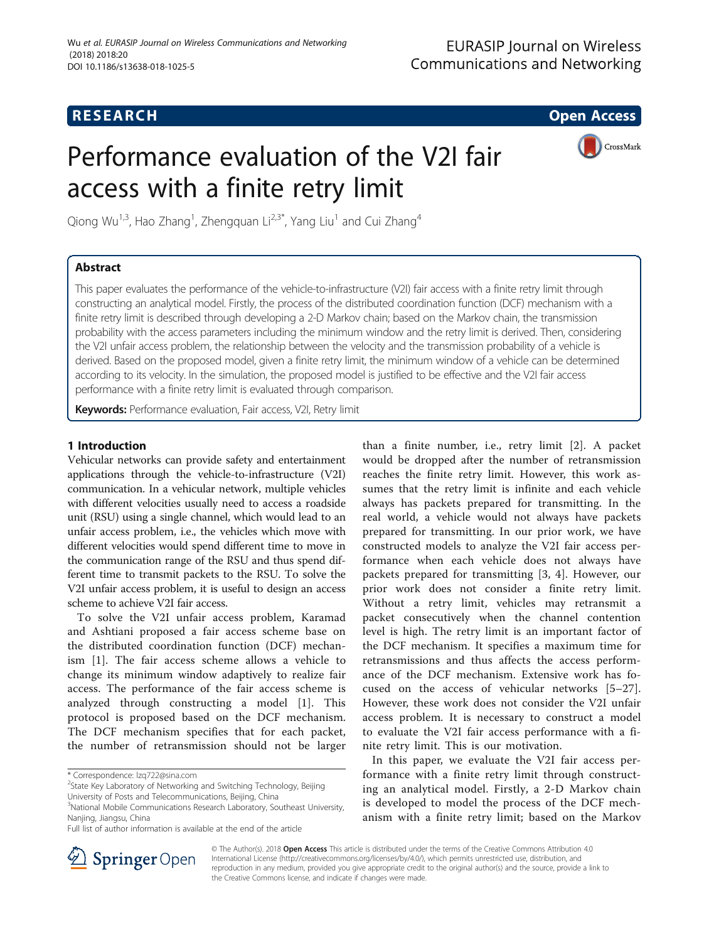## **RESEARCH CHE Open Access**

# Performance evaluation of the V2I fair access with a finite retry limit



Qiong Wu<sup>1,3</sup>, Hao Zhang<sup>1</sup>, Zhengquan Li<sup>2,3\*</sup>, Yang Liu<sup>1</sup> and Cui Zhang<sup>4</sup>

### Abstract

This paper evaluates the performance of the vehicle-to-infrastructure (V2I) fair access with a finite retry limit through constructing an analytical model. Firstly, the process of the distributed coordination function (DCF) mechanism with a finite retry limit is described through developing a 2-D Markov chain; based on the Markov chain, the transmission probability with the access parameters including the minimum window and the retry limit is derived. Then, considering the V2I unfair access problem, the relationship between the velocity and the transmission probability of a vehicle is derived. Based on the proposed model, given a finite retry limit, the minimum window of a vehicle can be determined according to its velocity. In the simulation, the proposed model is justified to be effective and the V2I fair access performance with a finite retry limit is evaluated through comparison.

Keywords: Performance evaluation, Fair access, V2I, Retry limit

#### 1 Introduction

Vehicular networks can provide safety and entertainment applications through the vehicle-to-infrastructure (V2I) communication. In a vehicular network, multiple vehicles with different velocities usually need to access a roadside unit (RSU) using a single channel, which would lead to an unfair access problem, i.e., the vehicles which move with different velocities would spend different time to move in the communication range of the RSU and thus spend different time to transmit packets to the RSU. To solve the V2I unfair access problem, it is useful to design an access scheme to achieve V2I fair access.

To solve the V2I unfair access problem, Karamad and Ashtiani proposed a fair access scheme base on the distributed coordination function (DCF) mechanism [\[1](#page-8-0)]. The fair access scheme allows a vehicle to change its minimum window adaptively to realize fair access. The performance of the fair access scheme is analyzed through constructing a model [\[1](#page-8-0)]. This protocol is proposed based on the DCF mechanism. The DCF mechanism specifies that for each packet, the number of retransmission should not be larger

than a finite number, i.e., retry limit [[2\]](#page-8-0). A packet would be dropped after the number of retransmission reaches the finite retry limit. However, this work assumes that the retry limit is infinite and each vehicle always has packets prepared for transmitting. In the real world, a vehicle would not always have packets prepared for transmitting. In our prior work, we have constructed models to analyze the V2I fair access performance when each vehicle does not always have packets prepared for transmitting [[3, 4\]](#page-8-0). However, our prior work does not consider a finite retry limit. Without a retry limit, vehicles may retransmit a packet consecutively when the channel contention level is high. The retry limit is an important factor of the DCF mechanism. It specifies a maximum time for retransmissions and thus affects the access performance of the DCF mechanism. Extensive work has focused on the access of vehicular networks [\[5](#page-8-0)–[27](#page-8-0)]. However, these work does not consider the V2I unfair access problem. It is necessary to construct a model to evaluate the V2I fair access performance with a finite retry limit. This is our motivation.

In this paper, we evaluate the V2I fair access performance with a finite retry limit through constructing an analytical model. Firstly, a 2-D Markov chain is developed to model the process of the DCF mechanism with a finite retry limit; based on the Markov



© The Author(s). 2018 Open Access This article is distributed under the terms of the Creative Commons Attribution 4.0 International License ([http://creativecommons.org/licenses/by/4.0/\)](http://creativecommons.org/licenses/by/4.0/), which permits unrestricted use, distribution, and reproduction in any medium, provided you give appropriate credit to the original author(s) and the source, provide a link to the Creative Commons license, and indicate if changes were made.

<sup>\*</sup> Correspondence: [lzq722@sina.com](mailto:lzq722@sina.com) <sup>2</sup>

 $2$ State Key Laboratory of Networking and Switching Technology, Beijing

University of Posts and Telecommunications, Beijing, China

<sup>&</sup>lt;sup>3</sup>National Mobile Communications Research Laboratory, Southeast University, Nanjing, Jiangsu, China

Full list of author information is available at the end of the article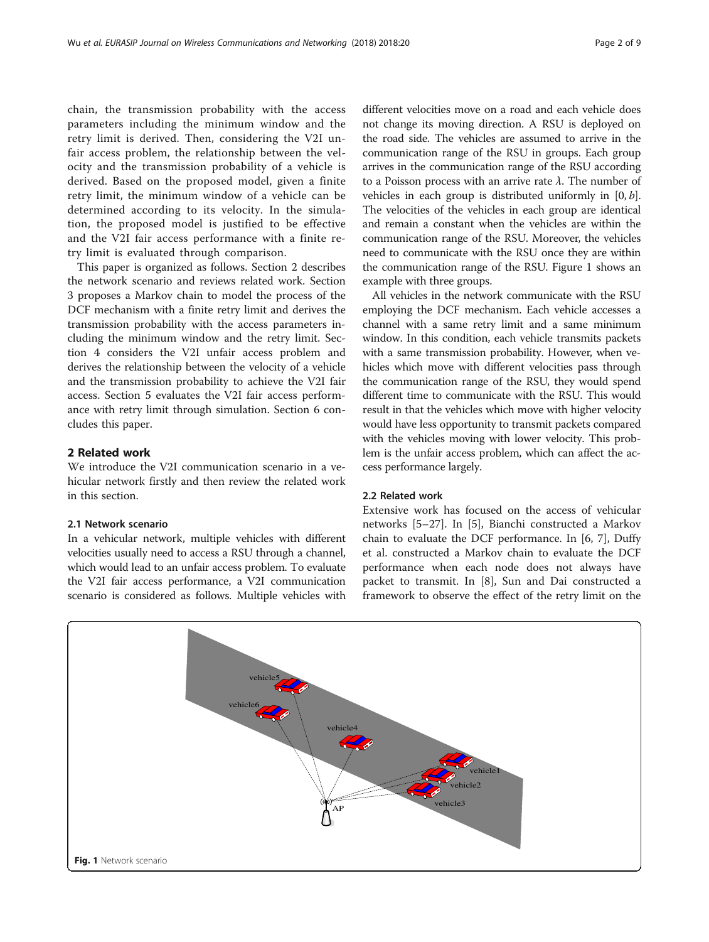<span id="page-1-0"></span>chain, the transmission probability with the access parameters including the minimum window and the retry limit is derived. Then, considering the V2I unfair access problem, the relationship between the velocity and the transmission probability of a vehicle is derived. Based on the proposed model, given a finite retry limit, the minimum window of a vehicle can be determined according to its velocity. In the simulation, the proposed model is justified to be effective and the V2I fair access performance with a finite retry limit is evaluated through comparison.

This paper is organized as follows. Section 2 describes the network scenario and reviews related work. Section [3](#page-2-0) proposes a Markov chain to model the process of the DCF mechanism with a finite retry limit and derives the transmission probability with the access parameters including the minimum window and the retry limit. Section [4](#page-3-0) considers the V2I unfair access problem and derives the relationship between the velocity of a vehicle and the transmission probability to achieve the V2I fair access. Section [5](#page-6-0) evaluates the V2I fair access performance with retry limit through simulation. Section [6](#page-7-0) concludes this paper.

#### 2 Related work

We introduce the V2I communication scenario in a vehicular network firstly and then review the related work in this section.

#### 2.1 Network scenario

In a vehicular network, multiple vehicles with different velocities usually need to access a RSU through a channel, which would lead to an unfair access problem. To evaluate the V2I fair access performance, a V2I communication scenario is considered as follows. Multiple vehicles with

different velocities move on a road and each vehicle does not change its moving direction. A RSU is deployed on the road side. The vehicles are assumed to arrive in the communication range of the RSU in groups. Each group arrives in the communication range of the RSU according to a Poisson process with an arrive rate  $\lambda$ . The number of vehicles in each group is distributed uniformly in  $[0, b]$ . The velocities of the vehicles in each group are identical and remain a constant when the vehicles are within the communication range of the RSU. Moreover, the vehicles need to communicate with the RSU once they are within the communication range of the RSU. Figure 1 shows an example with three groups.

All vehicles in the network communicate with the RSU employing the DCF mechanism. Each vehicle accesses a channel with a same retry limit and a same minimum window. In this condition, each vehicle transmits packets with a same transmission probability. However, when vehicles which move with different velocities pass through the communication range of the RSU, they would spend different time to communicate with the RSU. This would result in that the vehicles which move with higher velocity would have less opportunity to transmit packets compared with the vehicles moving with lower velocity. This problem is the unfair access problem, which can affect the access performance largely.

#### 2.2 Related work

Extensive work has focused on the access of vehicular networks [[5](#page-8-0)–[27](#page-8-0)]. In [\[5](#page-8-0)], Bianchi constructed a Markov chain to evaluate the DCF performance. In [\[6](#page-8-0), [7](#page-8-0)], Duffy et al. constructed a Markov chain to evaluate the DCF performance when each node does not always have packet to transmit. In [\[8\]](#page-8-0), Sun and Dai constructed a framework to observe the effect of the retry limit on the

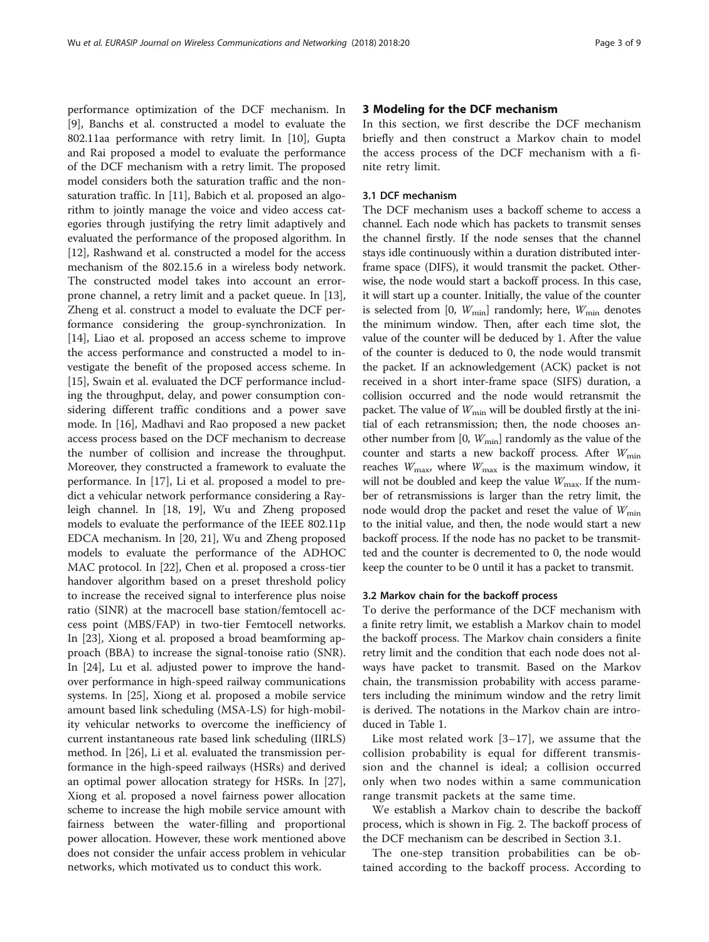<span id="page-2-0"></span>performance optimization of the DCF mechanism. In [[9\]](#page-8-0), Banchs et al. constructed a model to evaluate the 802.11aa performance with retry limit. In [[10\]](#page-8-0), Gupta and Rai proposed a model to evaluate the performance of the DCF mechanism with a retry limit. The proposed model considers both the saturation traffic and the nonsaturation traffic. In [[11\]](#page-8-0), Babich et al. proposed an algorithm to jointly manage the voice and video access categories through justifying the retry limit adaptively and evaluated the performance of the proposed algorithm. In [[12\]](#page-8-0), Rashwand et al. constructed a model for the access mechanism of the 802.15.6 in a wireless body network. The constructed model takes into account an errorprone channel, a retry limit and a packet queue. In [\[13](#page-8-0)], Zheng et al. construct a model to evaluate the DCF performance considering the group-synchronization. In [[14\]](#page-8-0), Liao et al. proposed an access scheme to improve the access performance and constructed a model to investigate the benefit of the proposed access scheme. In [[15\]](#page-8-0), Swain et al. evaluated the DCF performance including the throughput, delay, and power consumption considering different traffic conditions and a power save mode. In [\[16](#page-8-0)], Madhavi and Rao proposed a new packet access process based on the DCF mechanism to decrease the number of collision and increase the throughput. Moreover, they constructed a framework to evaluate the performance. In [[17](#page-8-0)], Li et al. proposed a model to predict a vehicular network performance considering a Rayleigh channel. In [[18, 19\]](#page-8-0), Wu and Zheng proposed models to evaluate the performance of the IEEE 802.11p EDCA mechanism. In [[20](#page-8-0), [21\]](#page-8-0), Wu and Zheng proposed models to evaluate the performance of the ADHOC MAC protocol. In [\[22](#page-8-0)], Chen et al. proposed a cross-tier handover algorithm based on a preset threshold policy to increase the received signal to interference plus noise ratio (SINR) at the macrocell base station/femtocell access point (MBS/FAP) in two-tier Femtocell networks. In [\[23\]](#page-8-0), Xiong et al. proposed a broad beamforming approach (BBA) to increase the signal-tonoise ratio (SNR). In [[24](#page-8-0)], Lu et al. adjusted power to improve the handover performance in high-speed railway communications systems. In [[25\]](#page-8-0), Xiong et al. proposed a mobile service amount based link scheduling (MSA-LS) for high-mobility vehicular networks to overcome the inefficiency of current instantaneous rate based link scheduling (IIRLS) method. In [\[26](#page-8-0)], Li et al. evaluated the transmission performance in the high-speed railways (HSRs) and derived an optimal power allocation strategy for HSRs. In [\[27](#page-8-0)], Xiong et al. proposed a novel fairness power allocation scheme to increase the high mobile service amount with fairness between the water-filling and proportional power allocation. However, these work mentioned above does not consider the unfair access problem in vehicular networks, which motivated us to conduct this work.

#### 3 Modeling for the DCF mechanism

In this section, we first describe the DCF mechanism briefly and then construct a Markov chain to model the access process of the DCF mechanism with a finite retry limit.

#### 3.1 DCF mechanism

The DCF mechanism uses a backoff scheme to access a channel. Each node which has packets to transmit senses the channel firstly. If the node senses that the channel stays idle continuously within a duration distributed interframe space (DIFS), it would transmit the packet. Otherwise, the node would start a backoff process. In this case, it will start up a counter. Initially, the value of the counter is selected from [0,  $W_{\text{min}}$ ] randomly; here,  $W_{\text{min}}$  denotes the minimum window. Then, after each time slot, the value of the counter will be deduced by 1. After the value of the counter is deduced to 0, the node would transmit the packet. If an acknowledgement (ACK) packet is not received in a short inter-frame space (SIFS) duration, a collision occurred and the node would retransmit the packet. The value of  $W_{\text{min}}$  will be doubled firstly at the initial of each retransmission; then, the node chooses another number from [0,  $W_{\text{min}}$ ] randomly as the value of the counter and starts a new backoff process. After  $W_{\text{min}}$ reaches  $W_{\text{max}}$ , where  $W_{\text{max}}$  is the maximum window, it will not be doubled and keep the value  $W_{\text{max}}$ . If the number of retransmissions is larger than the retry limit, the node would drop the packet and reset the value of  $W_{\text{min}}$ to the initial value, and then, the node would start a new backoff process. If the node has no packet to be transmitted and the counter is decremented to 0, the node would keep the counter to be 0 until it has a packet to transmit.

#### 3.2 Markov chain for the backoff process

To derive the performance of the DCF mechanism with a finite retry limit, we establish a Markov chain to model the backoff process. The Markov chain considers a finite retry limit and the condition that each node does not always have packet to transmit. Based on the Markov chain, the transmission probability with access parameters including the minimum window and the retry limit is derived. The notations in the Markov chain are introduced in Table [1](#page-3-0).

Like most related work [[3](#page-8-0)–[17\]](#page-8-0), we assume that the collision probability is equal for different transmission and the channel is ideal; a collision occurred only when two nodes within a same communication range transmit packets at the same time.

We establish a Markov chain to describe the backoff process, which is shown in Fig. [2](#page-4-0). The backoff process of the DCF mechanism can be described in Section 3.1.

The one-step transition probabilities can be obtained according to the backoff process. According to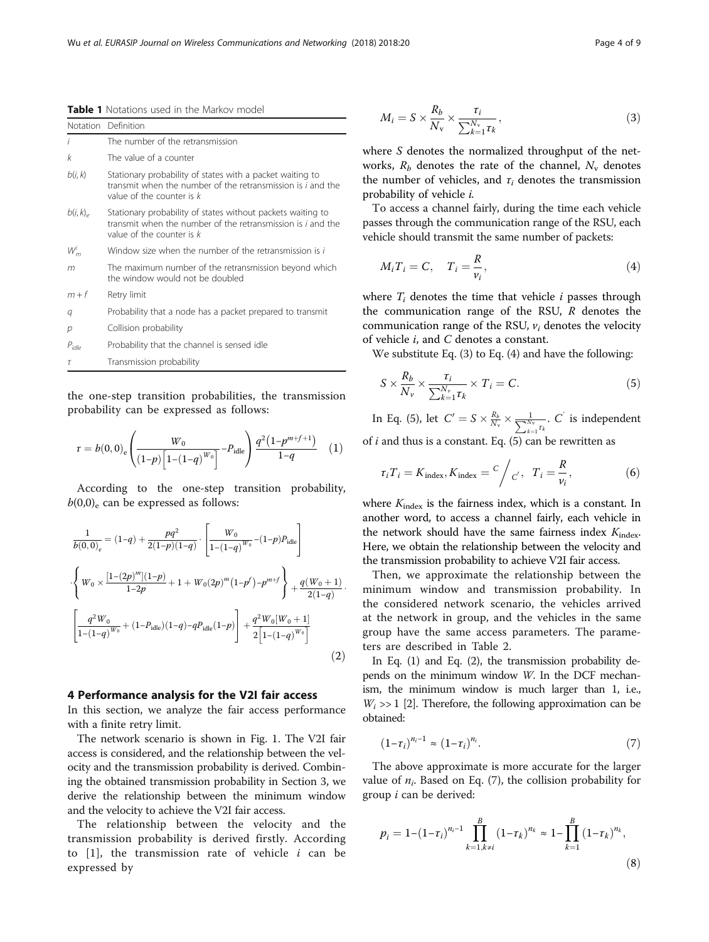<span id="page-3-0"></span>Table 1 Notations used in the Markov model

| Notation         | Definition                                                                                                                                                |
|------------------|-----------------------------------------------------------------------------------------------------------------------------------------------------------|
| i                | The number of the retransmission                                                                                                                          |
| k                | The value of a counter                                                                                                                                    |
| b(i, k)          | Stationary probability of states with a packet waiting to<br>transmit when the number of the retransmission is i and the<br>value of the counter is $k$   |
| $b(i, k)_{\rho}$ | Stationary probability of states without packets waiting to<br>transmit when the number of the retransmission is i and the<br>value of the counter is $k$ |
| $W_m'$           | Window size when the number of the retransmission is i                                                                                                    |
| m                | The maximum number of the retransmission beyond which<br>the window would not be doubled                                                                  |
| $m + f$          | Retry limit                                                                                                                                               |
| q                | Probability that a node has a packet prepared to transmit                                                                                                 |
| р                | Collision probability                                                                                                                                     |
| $P_{idle}$       | Probability that the channel is sensed idle                                                                                                               |
| $\tau$           | Transmission probability                                                                                                                                  |

the one-step transition probabilities, the transmission probability can be expressed as follows:

$$
\tau = b(0,0) \cdot \left( \frac{W_0}{(1-p) \left[ 1 - (1-q)^{W_0} \right]} - P_{\text{idle}} \right) \frac{q^2 (1-p^{m+f+1})}{1-q} \quad (1)
$$

According to the one-step transition probability,  $b(0,0)$ <sub>e</sub> can be expressed as follows:

$$
\frac{1}{b(0,0)_{e}} = (1-q) + \frac{pq^{2}}{2(1-p)(1-q)} \cdot \left[ \frac{W_{0}}{1-(1-q)^{W_{0}}}(1-p)P_{idle} \right]
$$

$$
\cdot \left\{ W_{0} \times \frac{[1-(2p)^{m}](1-p)}{1-2p} + 1 + W_{0}(2p)^{m}(1-p^{f}) - p^{m+f} \right\} + \frac{q(W_{0}+1)}{2(1-q)} \cdot \left[ \frac{q^{2}W_{0}}{1-(1-q)^{W_{0}}} + (1-P_{idle})(1-q) - qP_{idle}(1-p) \right] + \frac{q^{2}W_{0}[W_{0}+1]}{2[1-(1-q)^{W_{0}}]}
$$
(2)

#### 4 Performance analysis for the V2I fair access

In this section, we analyze the fair access performance with a finite retry limit.

The network scenario is shown in Fig. [1](#page-1-0). The V2I fair access is considered, and the relationship between the velocity and the transmission probability is derived. Combining the obtained transmission probability in Section [3](#page-2-0), we derive the relationship between the minimum window and the velocity to achieve the V2I fair access.

The relationship between the velocity and the transmission probability is derived firstly. According to  $[1]$  $[1]$ , the transmission rate of vehicle *i* can be expressed by

$$
M_i = S \times \frac{R_b}{N_v} \times \frac{\tau_i}{\sum_{k=1}^{N_v} \tau_k},\tag{3}
$$

where S denotes the normalized throughput of the networks,  $R_b$  denotes the rate of the channel,  $N_v$  denotes the number of vehicles, and  $\tau_i$  denotes the transmission probability of vehicle i.

To access a channel fairly, during the time each vehicle passes through the communication range of the RSU, each vehicle should transmit the same number of packets:

$$
M_i T_i = C, \quad T_i = \frac{R}{\nu_i}, \tag{4}
$$

where  $T_i$  denotes the time that vehicle *i* passes through the communication range of the RSU, R denotes the communication range of the RSU,  $v_i$  denotes the velocity of vehicle i, and C denotes a constant.

We substitute Eq. (3) to Eq. (4) and have the following:

$$
S \times \frac{R_b}{N_v} \times \frac{\tau_i}{\sum_{k=1}^{N_v} \tau_k} \times T_i = C.
$$
 (5)

In Eq. (5), let  $C' = S \times \frac{R_b}{N_v} \times \frac{1}{\sum_{k=1}^{N_v}}$  $\frac{1}{N_v}$ .  $C^{'}$  is independent of  $i$  and thus is a constant. Eq. (5) can be rewritten as

$$
\tau_i T_i = K_{\text{index}}, K_{\text{index}} = \frac{C}{c'}, \quad T_i = \frac{R}{v_i}, \tag{6}
$$

where  $K_{index}$  is the fairness index, which is a constant. In another word, to access a channel fairly, each vehicle in the network should have the same fairness index  $K_{index}$ . Here, we obtain the relationship between the velocity and the transmission probability to achieve V2I fair access.

Then, we approximate the relationship between the minimum window and transmission probability. In the considered network scenario, the vehicles arrived at the network in group, and the vehicles in the same group have the same access parameters. The parameters are described in Table [2.](#page-4-0)

In Eq. (1) and Eq. (2), the transmission probability depends on the minimum window W. In the DCF mechanism, the minimum window is much larger than 1, i.e.,  $W_i \gg 1$  [[2](#page-8-0)]. Therefore, the following approximation can be obtained:

$$
\left(1 - \tau_i\right)^{n_i - 1} \approx \left(1 - \tau_i\right)^{n_i}.\tag{7}
$$

The above approximate is more accurate for the larger value of  $n_i$ . Based on Eq. (7), the collision probability for group  $i$  can be derived:

$$
p_{i} = 1 - (1 - \tau_{i})^{n_{i} - 1} \prod_{k=1, k \neq i}^{B} (1 - \tau_{k})^{n_{k}} \approx 1 - \prod_{k=1}^{B} (1 - \tau_{k})^{n_{k}},
$$
\n(8)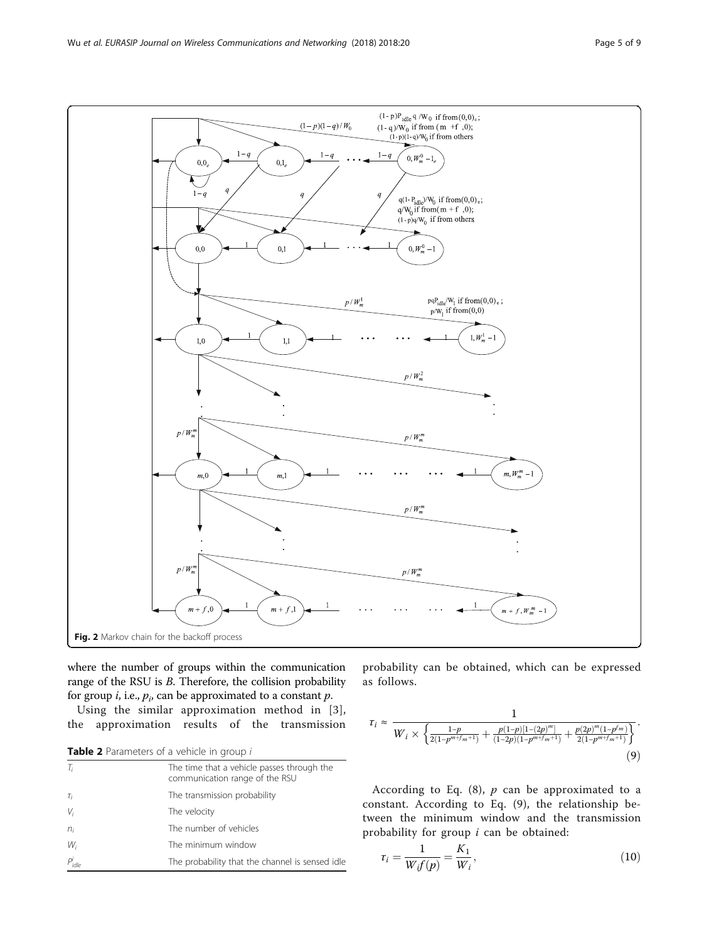<span id="page-4-0"></span>

where the number of groups within the communication range of the RSU is B. Therefore, the collision probability for group *i*, i.e.,  $p_i$ , can be approximated to a constant  $p$ .

Using the similar approximation method in [[3\]](#page-8-0), the approximation results of the transmission

Table 2 Parameters of a vehicle in group i

| $T_i$              | The time that a vehicle passes through the<br>communication range of the RSU |
|--------------------|------------------------------------------------------------------------------|
| $\tau_i$           | The transmission probability                                                 |
| $V_i$              | The velocity                                                                 |
| $n_i$              | The number of vehicles                                                       |
| $W_i$              | The minimum window                                                           |
| P <sup>i</sup> dle | The probability that the channel is sensed idle                              |

probability can be obtained, which can be expressed as follows.

$$
\tau_i \approx \frac{1}{W_i \times \left\{ \frac{1-p}{2(1-p^{m+f_m+1})} + \frac{p(1-p)[1-(2p)^m]}{(1-2p)(1-p^{m+f_m+1})} + \frac{p(2p)^m(1-p^f)^m}{2(1-p^{m+f_m+1})} \right\}}.
$$
\n(9)

According to Eq. ([8](#page-3-0)),  $p$  can be approximated to a constant. According to Eq. (9), the relationship between the minimum window and the transmission probability for group i can be obtained:

$$
\tau_i = \frac{1}{W_i f(p)} = \frac{K_1}{W_i},\tag{10}
$$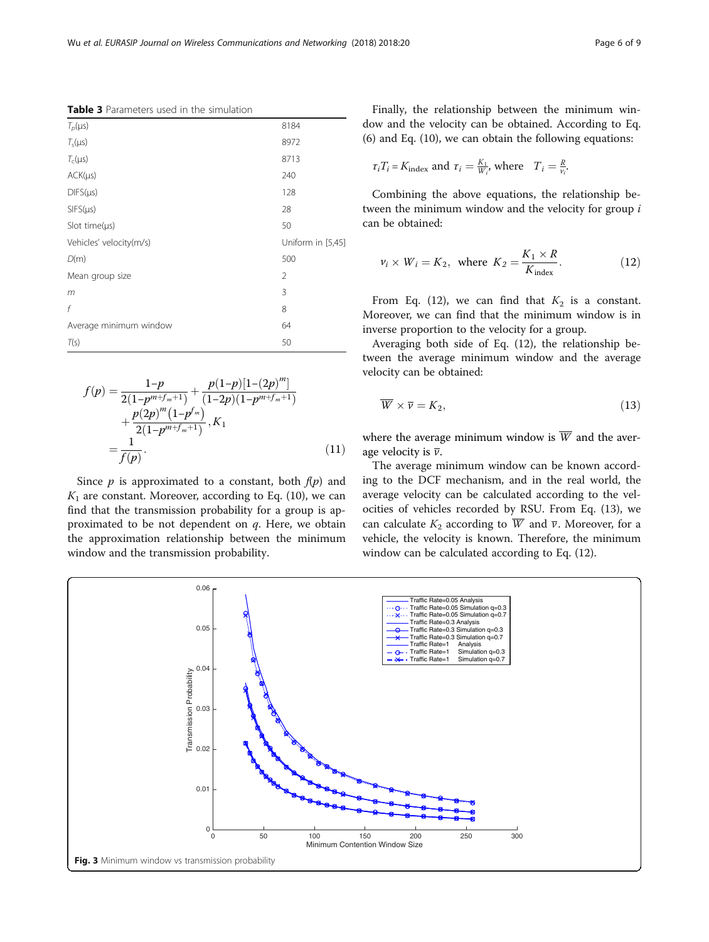<span id="page-5-0"></span>Table 3 Parameters used in the simulation

| $T_p(\mu s)$            | 8184              |
|-------------------------|-------------------|
| $T_s(\mu s)$            | 8972              |
| $T_c(\mu s)$            | 8713              |
| $ACK(\mu s)$            | 240               |
| $DIFS(\mu s)$           | 128               |
| $SIFS(\mu s)$           | 28                |
| Slot time( $\mu s$ )    | 50                |
| Vehicles' velocity(m/s) | Uniform in [5,45] |
| D(m)                    | 500               |
| Mean group size         | $\overline{2}$    |
| m                       | 3                 |
| f                       | 8                 |
| Average minimum window  | 64                |
| T(s)                    | 50                |

$$
f(p) = \frac{1-p}{2(1-p^{m+f_m+1})} + \frac{p(1-p)[1-(2p)^m]}{(1-2p)(1-p^{m+f_m+1})} + \frac{p(2p)^m(1-p^f)}{2(1-p^{m+f_m+1})}, K_1
$$
  
= 
$$
\frac{1}{f(p)}.
$$
 (11)

Since  $p$  is approximated to a constant, both  $f(p)$  and  $K_1$  are constant. Moreover, according to Eq. ([10](#page-4-0)), we can find that the transmission probability for a group is approximated to be not dependent on  $q$ . Here, we obtain the approximation relationship between the minimum window and the transmission probability.

Finally, the relationship between the minimum window and the velocity can be obtained. According to Eq. ([6\)](#page-3-0) and Eq. ([10\)](#page-4-0), we can obtain the following equations:

$$
\tau_i T_i = K_{\text{index}}
$$
 and  $\tau_i = \frac{K_1}{W_i}$ , where  $T_i = \frac{R}{V_i}$ .

Combining the above equations, the relationship between the minimum window and the velocity for group i can be obtained:

$$
\nu_i \times W_i = K_2, \text{ where } K_2 = \frac{K_1 \times R}{K_{\text{index}}}.
$$
 (12)

From Eq. (12), we can find that  $K_2$  is a constant. Moreover, we can find that the minimum window is in inverse proportion to the velocity for a group.

Averaging both side of Eq. (12), the relationship between the average minimum window and the average velocity can be obtained:

$$
\overline{W} \times \overline{\nu} = K_2,\tag{13}
$$

where the average minimum window is  $\overline{W}$  and the average velocity is  $\overline{v}$ .

The average minimum window can be known according to the DCF mechanism, and in the real world, the average velocity can be calculated according to the velocities of vehicles recorded by RSU. From Eq. (13), we can calculate  $K_2$  according to  $\overline{W}$  and  $\overline{v}$ . Moreover, for a vehicle, the velocity is known. Therefore, the minimum window can be calculated according to Eq. (12).

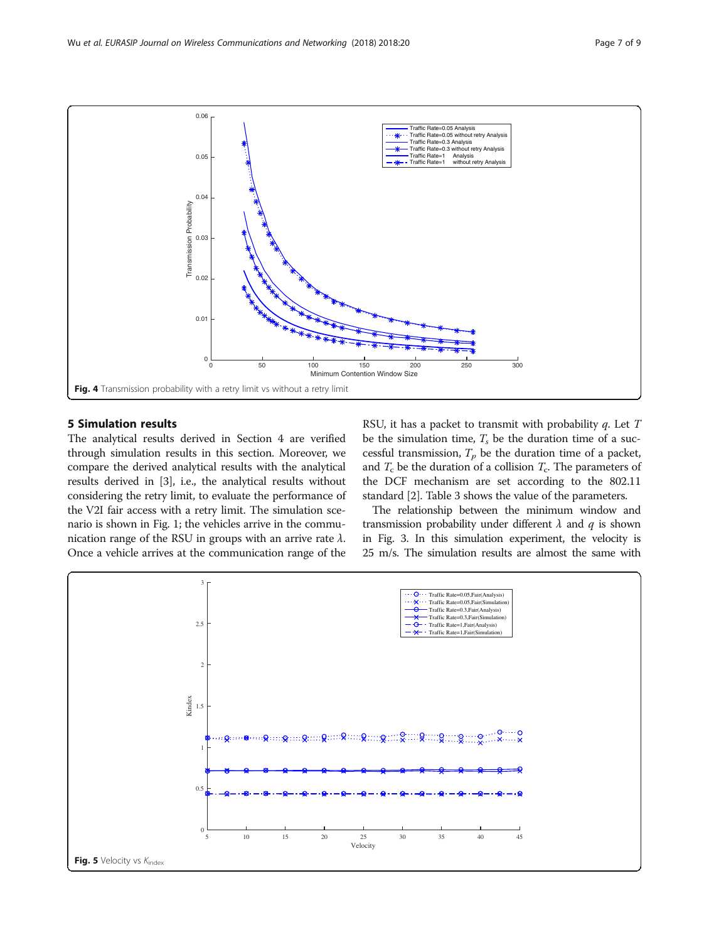<span id="page-6-0"></span>

#### 5 Simulation results

The analytical results derived in Section [4](#page-3-0) are verified through simulation results in this section. Moreover, we compare the derived analytical results with the analytical results derived in [\[3](#page-8-0)], i.e., the analytical results without considering the retry limit, to evaluate the performance of the V2I fair access with a retry limit. The simulation scenario is shown in Fig. [1](#page-1-0); the vehicles arrive in the communication range of the RSU in groups with an arrive rate  $\lambda$ . Once a vehicle arrives at the communication range of the RSU, it has a packet to transmit with probability  $q$ . Let  $T$ be the simulation time,  $T_s$  be the duration time of a successful transmission,  $T_p$  be the duration time of a packet, and  $T_c$  be the duration of a collision  $T_c$ . The parameters of the DCF mechanism are set according to the 802.11 standard [\[2\]](#page-8-0). Table [3](#page-5-0) shows the value of the parameters.

The relationship between the minimum window and transmission probability under different  $\lambda$  and  $q$  is shown in Fig. [3](#page-5-0). In this simulation experiment, the velocity is 25 m/s. The simulation results are almost the same with

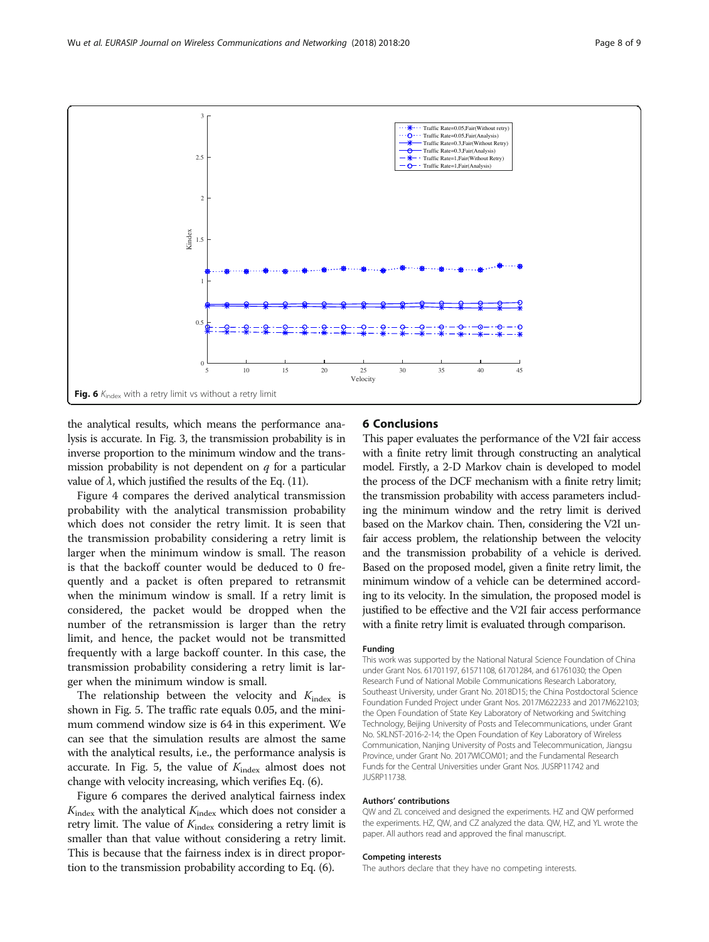<span id="page-7-0"></span>

the analytical results, which means the performance analysis is accurate. In Fig. [3,](#page-5-0) the transmission probability is in inverse proportion to the minimum window and the transmission probability is not dependent on  $q$  for a particular value of  $\lambda$ , which justified the results of the Eq. ([11](#page-5-0)).

Figure [4](#page-6-0) compares the derived analytical transmission probability with the analytical transmission probability which does not consider the retry limit. It is seen that the transmission probability considering a retry limit is larger when the minimum window is small. The reason is that the backoff counter would be deduced to 0 frequently and a packet is often prepared to retransmit when the minimum window is small. If a retry limit is considered, the packet would be dropped when the number of the retransmission is larger than the retry limit, and hence, the packet would not be transmitted frequently with a large backoff counter. In this case, the transmission probability considering a retry limit is larger when the minimum window is small.

The relationship between the velocity and  $K_{index}$  is shown in Fig. [5](#page-6-0). The traffic rate equals 0.05, and the minimum commend window size is 64 in this experiment. We can see that the simulation results are almost the same with the analytical results, i.e., the performance analysis is accurate. In Fig. [5,](#page-6-0) the value of  $K_{index}$  almost does not change with velocity increasing, which verifies Eq. [\(6](#page-3-0)).

Figure 6 compares the derived analytical fairness index  $K_{index}$  with the analytical  $K_{index}$  which does not consider a retry limit. The value of  $K_{index}$  considering a retry limit is smaller than that value without considering a retry limit. This is because that the fairness index is in direct proportion to the transmission probability according to Eq. [\(6\)](#page-3-0).

#### 6 Conclusions

This paper evaluates the performance of the V2I fair access with a finite retry limit through constructing an analytical model. Firstly, a 2-D Markov chain is developed to model the process of the DCF mechanism with a finite retry limit; the transmission probability with access parameters including the minimum window and the retry limit is derived based on the Markov chain. Then, considering the V2I unfair access problem, the relationship between the velocity and the transmission probability of a vehicle is derived. Based on the proposed model, given a finite retry limit, the minimum window of a vehicle can be determined according to its velocity. In the simulation, the proposed model is justified to be effective and the V2I fair access performance with a finite retry limit is evaluated through comparison.

#### Funding

This work was supported by the National Natural Science Foundation of China under Grant Nos. 61701197, 61571108, 61701284, and 61761030; the Open Research Fund of National Mobile Communications Research Laboratory, Southeast University, under Grant No. 2018D15; the China Postdoctoral Science Foundation Funded Project under Grant Nos. 2017M622233 and 2017M622103; the Open Foundation of State Key Laboratory of Networking and Switching Technology, Beijing University of Posts and Telecommunications, under Grant No. SKLNST-2016-2-14; the Open Foundation of Key Laboratory of Wireless Communication, Nanjing University of Posts and Telecommunication, Jiangsu Province, under Grant No. 2017WICOM01; and the Fundamental Research Funds for the Central Universities under Grant Nos. JUSRP11742 and JUSRP11738.

#### Authors' contributions

QW and ZL conceived and designed the experiments. HZ and QW performed the experiments. HZ, QW, and CZ analyzed the data. QW, HZ, and YL wrote the paper. All authors read and approved the final manuscript.

#### Competing interests

The authors declare that they have no competing interests.